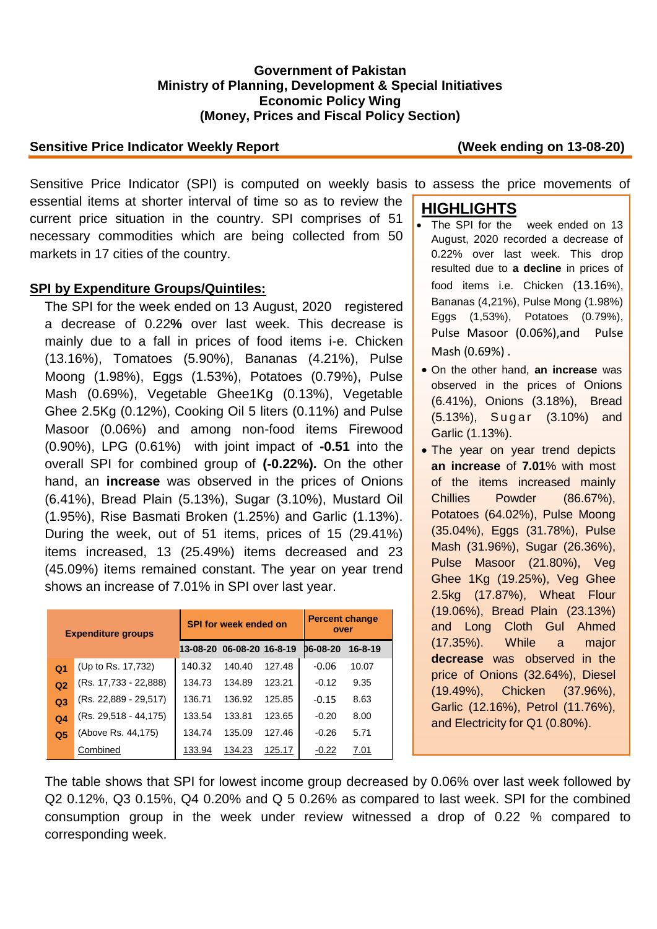#### **Government of Pakistan Ministry of Planning, Development & Special Initiatives Economic Policy Wing (Money, Prices and Fiscal Policy Section)**

#### **Sensitive Price Indicator Weekly Report (Week ending on 13-08-20)**

Sensitive Price Indicator (SPI) is computed on weekly basis to assess the price movements of essential items at shorter interval of time so as to review the current price situation in the country. SPI comprises of 51 necessary commodities which are being collected from 50 markets in 17 cities of the country.

## **SPI by Expenditure Groups/Quintiles:**

The SPI for the week ended on 13 August, 2020 registered a decrease of 0.22**%** over last week. This decrease is mainly due to a fall in prices of food items i-e. Chicken (13.16%), Tomatoes (5.90%), Bananas (4.21%), Pulse Moong (1.98%), Eggs (1.53%), Potatoes (0.79%), Pulse Mash (0.69%), Vegetable Ghee1Kg (0.13%), Vegetable Ghee 2.5Kg (0.12%), Cooking Oil 5 liters (0.11%) and Pulse Masoor (0.06%) and among non-food items Firewood (0.90%), LPG (0.61%) with joint impact of **-0.51** into the overall SPI for combined group of **(-0.22%).** On the other hand, an **increase** was observed in the prices of Onions (6.41%), Bread Plain (5.13%), Sugar (3.10%), Mustard Oil (1.95%), Rise Basmati Broken (1.25%) and Garlic (1.13%). During the week, out of 51 items, prices of 15 (29.41%) items increased, 13 (25.49%) items decreased and 23 (45.09%) items remained constant. The year on year trend shows an increase of 7.01% in SPI over last year.

| <b>Expenditure groups</b> |                           | <b>SPI for week ended on</b> |                  |        | <b>Percent change</b><br>over |         |  |
|---------------------------|---------------------------|------------------------------|------------------|--------|-------------------------------|---------|--|
|                           |                           | 13-08-20                     | 06-08-20 16-8-19 |        | D6-08-20                      | 16-8-19 |  |
| Q <sub>1</sub>            | (Up to Rs. 17,732)        | 140.32                       | 140.40           | 127.48 | $-0.06$                       | 10.07   |  |
| Q <sub>2</sub>            | (Rs. 17,733 - 22,888)     | 134.73                       | 134.89           | 123.21 | $-0.12$                       | 9.35    |  |
| Q <sub>3</sub>            | (Rs. 22,889 - 29,517)     | 136.71                       | 136.92           | 125.85 | $-0.15$                       | 8.63    |  |
| Q <sub>4</sub>            | $(Rs. 29, 518 - 44, 175)$ | 133.54                       | 133.81           | 123.65 | $-0.20$                       | 8.00    |  |
| Q <sub>5</sub>            | (Above Rs. 44,175)        | 134.74                       | 135.09           | 127.46 | $-0.26$                       | 5.71    |  |
|                           | Combined                  | 133.94                       | 134.23           | 125.17 | $-0.22$                       | 7.01    |  |

# **HIGHLIGHTS**

- The SPI for the week ended on 13 August, 2020 recorded a decrease of 0.22% over last week. This drop resulted due to **a decline** in prices of food items i.e. Chicken (13.16%), Bananas (4,21%), Pulse Mong (1.98%) Eggs (1,53%), Potatoes (0.79%), Pulse Masoor (0.06%),and Pulse Mash (0.69%) .
- On the other hand, **an increase** was observed in the prices of Onions (6.41%), Onions (3.18%), Bread (5.13%), Sugar (3.10%) and Garlic (1.13%).
- The year on year trend depicts **an increase** of **7.01**% with most of the items increased mainly Chillies Powder (86.67%), Potatoes (64.02%), Pulse Moong (35.04%), Eggs (31.78%), Pulse Mash (31.96%), Sugar (26.36%), Pulse Masoor (21.80%), Veg Ghee 1Kg (19.25%), Veg Ghee 2.5kg (17.87%), Wheat Flour (19.06%), Bread Plain (23.13%) and Long Cloth Gul Ahmed (17.35%). While a major **decrease** was observed in the price of Onions (32.64%), Diesel (19.49%), Chicken (37.96%), Garlic (12.16%), Petrol (11.76%), and Electricity for Q1 (0.80%).

The table shows that SPI for lowest income group decreased by 0.06% over last week followed by Q2 0.12%, Q3 0.15%, Q4 0.20% and Q 5 0.26% as compared to last week. SPI for the combined consumption group in the week under review witnessed a drop of 0.22 % compared to corresponding week.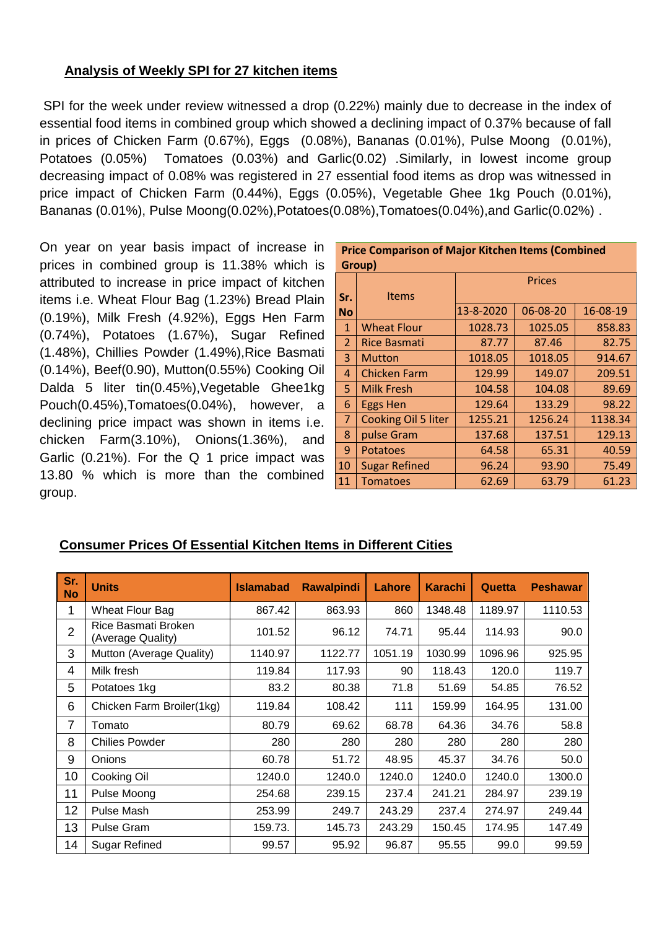## **Analysis of Weekly SPI for 27 kitchen items**

SPI for the week under review witnessed a drop (0.22%) mainly due to decrease in the index of essential food items in combined group which showed a declining impact of 0.37% because of fall in prices of Chicken Farm (0.67%), Eggs (0.08%), Bananas (0.01%), Pulse Moong (0.01%), Potatoes (0.05%) Tomatoes (0.03%) and Garlic(0.02) .Similarly, in lowest income group decreasing impact of 0.08% was registered in 27 essential food items as drop was witnessed in price impact of Chicken Farm (0.44%), Eggs (0.05%), Vegetable Ghee 1kg Pouch (0.01%), Bananas (0.01%), Pulse Moong(0.02%),Potatoes(0.08%),Tomatoes(0.04%),and Garlic(0.02%) .

On year on year basis impact of increase in prices in combined group is 11.38% which is attributed to increase in price impact of kitchen items i.e. Wheat Flour Bag (1.23%) Bread Plain (0.19%), Milk Fresh (4.92%), Eggs Hen Farm (0.74%), Potatoes (1.67%), Sugar Refined (1.48%), Chillies Powder (1.49%),Rice Basmati (0.14%), Beef(0.90), Mutton(0.55%) Cooking Oil Dalda 5 liter tin(0.45%), Vegetable Ghee1kg Pouch(0.45%),Tomatoes(0.04%), however, a declining price impact was shown in items i.e. chicken Farm(3.10%), Onions(1.36%), and Garlic (0.21%). For the Q 1 price impact was 13.80 % which is more than the combined group.

| Group)         |                      |               |          |          |  |  |
|----------------|----------------------|---------------|----------|----------|--|--|
|                |                      | <b>Prices</b> |          |          |  |  |
| Sr.            | <b>Items</b>         |               |          |          |  |  |
| l No           |                      | 13-8-2020     | 06-08-20 | 16-08-19 |  |  |
| $\mathbf{1}$   | <b>Wheat Flour</b>   | 1028.73       | 1025.05  | 858.83   |  |  |
| $\overline{2}$ | <b>Rice Basmati</b>  | 87.77         | 87.46    | 82.75    |  |  |
| 3              | <b>Mutton</b>        | 1018.05       | 1018.05  | 914.67   |  |  |
| $\overline{4}$ | <b>Chicken Farm</b>  | 129.99        | 149.07   | 209.51   |  |  |
| 5              | <b>Milk Fresh</b>    | 104.58        | 104.08   | 89.69    |  |  |
| 6              | <b>Eggs Hen</b>      | 129.64        | 133.29   | 98.22    |  |  |
| $\overline{7}$ | Cooking Oil 5 liter  | 1255.21       | 1256.24  | 1138.34  |  |  |
| 8              | pulse Gram           | 137.68        | 137.51   | 129.13   |  |  |
| 9              | <b>Potatoes</b>      | 64.58         | 65.31    | 40.59    |  |  |
| 10             | <b>Sugar Refined</b> | 96.24         | 93.90    | 75.49    |  |  |
| 11             | <b>Tomatoes</b>      | 62.69         | 63.79    | 61.23    |  |  |

# **Price Comparison of Major Kitchen Items (Combined**

# **Consumer Prices Of Essential Kitchen Items in Different Cities**

| Sr.<br><b>No</b> | <b>Units</b>                             | <b>Islamabad</b> | <b>Rawalpindi</b> | Lahore  | <b>Karachi</b> | Quetta  | <b>Peshawar</b> |
|------------------|------------------------------------------|------------------|-------------------|---------|----------------|---------|-----------------|
| 1                | Wheat Flour Bag                          | 867.42           | 863.93            | 860     | 1348.48        | 1189.97 | 1110.53         |
| $\overline{2}$   | Rice Basmati Broken<br>(Average Quality) | 101.52           | 96.12             | 74.71   | 95.44          | 114.93  | 90.0            |
| 3                | Mutton (Average Quality)                 | 1140.97          | 1122.77           | 1051.19 | 1030.99        | 1096.96 | 925.95          |
| 4                | Milk fresh                               | 119.84           | 117.93            | 90      | 118.43         | 120.0   | 119.7           |
| 5                | Potatoes 1kg                             | 83.2             | 80.38             | 71.8    | 51.69          | 54.85   | 76.52           |
| 6                | Chicken Farm Broiler(1kg)                | 119.84           | 108.42            | 111     | 159.99         | 164.95  | 131.00          |
| 7                | Tomato                                   | 80.79            | 69.62             | 68.78   | 64.36          | 34.76   | 58.8            |
| 8                | <b>Chilies Powder</b>                    | 280              | 280               | 280     | 280            | 280     | 280             |
| 9                | Onions                                   | 60.78            | 51.72             | 48.95   | 45.37          | 34.76   | 50.0            |
| 10               | Cooking Oil                              | 1240.0           | 1240.0            | 1240.0  | 1240.0         | 1240.0  | 1300.0          |
| 11               | Pulse Moong                              | 254.68           | 239.15            | 237.4   | 241.21         | 284.97  | 239.19          |
| 12               | Pulse Mash                               | 253.99           | 249.7             | 243.29  | 237.4          | 274.97  | 249.44          |
| 13               | <b>Pulse Gram</b>                        | 159.73.          | 145.73            | 243.29  | 150.45         | 174.95  | 147.49          |
| 14               | Sugar Refined                            | 99.57            | 95.92             | 96.87   | 95.55          | 99.0    | 99.59           |